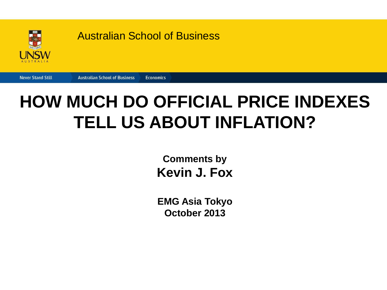

#### Australian School of Business

**Economics** 

**Never Stand Still Australian School of Business** 

#### **HOW MUCH DO OFFICIAL PRICE INDEXES TELL US ABOUT INFLATION?**

**Comments by Kevin J. Fox** 

**EMG Asia Tokyo October 2013**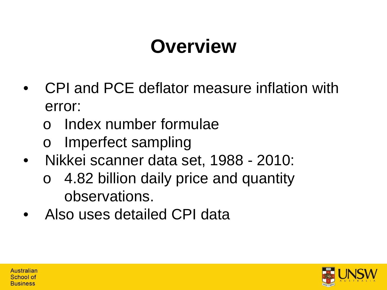## **Overview**

- CPI and PCE deflator measure inflation with error:
	- o Index number formulae
	- o Imperfect sampling
- Nikkei scanner data set, 1988 2010:
	- 4.82 billion daily price and quantity observations.
- Also uses detailed CPI data

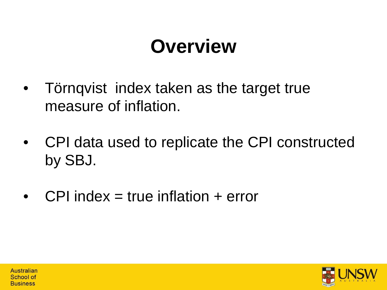## **Overview**

- Törnqvist index taken as the target true measure of inflation.
- CPI data used to replicate the CPI constructed by SBJ.
- $CPI$  index = true inflation  $+$  error

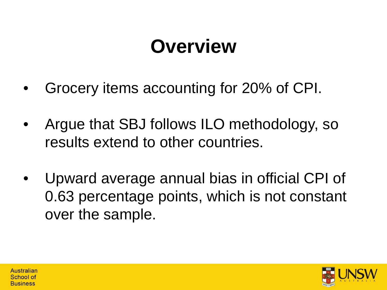## **Overview**

- Grocery items accounting for 20% of CPI.
- Argue that SBJ follows ILO methodology, so results extend to other countries.
- Upward average annual bias in official CPI of 0.63 percentage points, which is not constant over the sample.

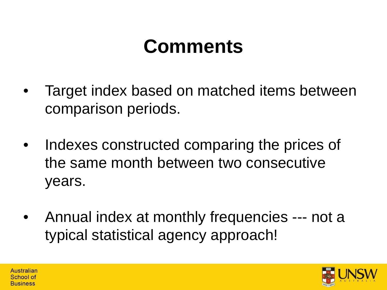- Target index based on matched items between comparison periods.
- Indexes constructed comparing the prices of the same month between two consecutive years.
- Annual index at monthly frequencies --- not a typical statistical agency approach!

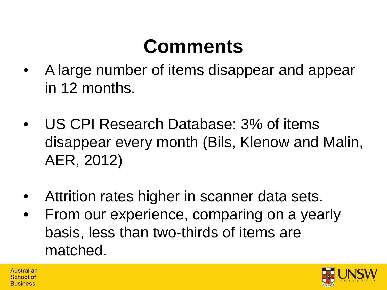- A large number of items disappear and appear in 12 months.
- US CPI Research Database: 3% of items disappear every month (Bils, Klenow and Malin, AER, 2012)
- Attrition rates higher in scanner data sets.
- From our experience, comparing on a yearly basis, less than two-thirds of items are matched.

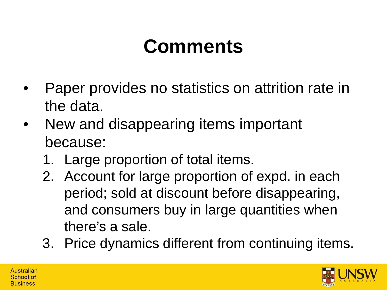- Paper provides no statistics on attrition rate in the data.
- New and disappearing items important because:
	- 1. Large proportion of total items.
	- 2. Account for large proportion of expd. in each period; sold at discount before disappearing, and consumers buy in large quantities when there's a sale.
	- 3. Price dynamics different from continuing items.

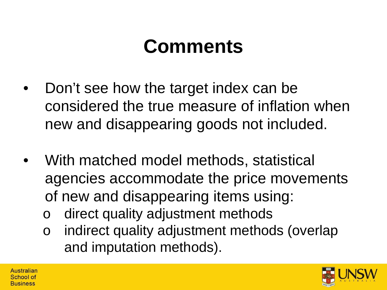- Don't see how the target index can be considered the true measure of inflation when new and disappearing goods not included.
- With matched model methods, statistical agencies accommodate the price movements of new and disappearing items using:
	- direct quality adjustment methods
	- o indirect quality adjustment methods (overlap and imputation methods).

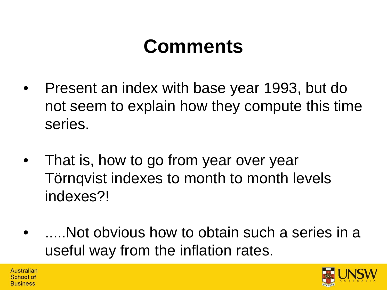- Present an index with base year 1993, but do not seem to explain how they compute this time series.
- That is, how to go from year over year Törnqvist indexes to month to month levels indexes?!
- .....Not obvious how to obtain such a series in a useful way from the inflation rates.

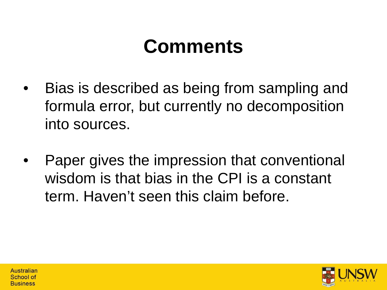- Bias is described as being from sampling and formula error, but currently no decomposition into sources.
- Paper gives the impression that conventional wisdom is that bias in the CPI is a constant term. Haven't seen this claim before.